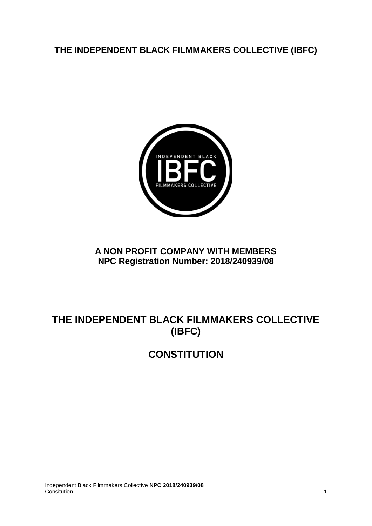# **THE INDEPENDENT BLACK FILMMAKERS COLLECTIVE (IBFC)**



# **A NON PROFIT COMPANY WITH MEMBERS NPC Registration Number: 2018/240939/08**

# **THE INDEPENDENT BLACK FILMMAKERS COLLECTIVE (IBFC)**

# **CONSTITUTION**

Independent Black Filmmakers Collective **NPC 2018/240939/08** Consitution 1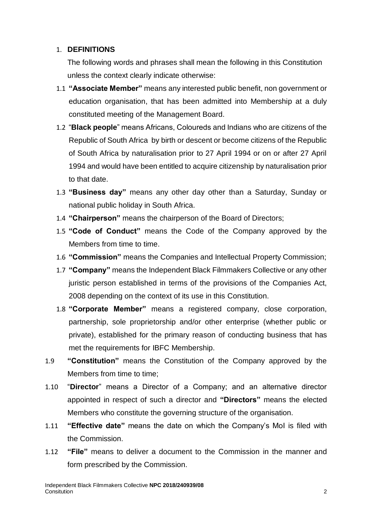#### 1. **DEFINITIONS**

The following words and phrases shall mean the following in this Constitution unless the context clearly indicate otherwise:

- 1.1 **"Associate Member"** means any interested public benefit, non government or education organisation, that has been admitted into Membership at a duly constituted meeting of the Management Board.
- 1.2 "**Black people**" means Africans, Coloureds and Indians who are citizens of the Republic of South Africa by birth or descent or become citizens of the Republic of South Africa by naturalisation prior to 27 April 1994 or on or after 27 April 1994 and would have been entitled to acquire citizenship by naturalisation prior to that date.
- 1.3 **"Business day"** means any other day other than a Saturday, Sunday or national public holiday in South Africa.
- 1.4 **"Chairperson"** means the chairperson of the Board of Directors;
- 1.5 **"Code of Conduct"** means the Code of the Company approved by the Members from time to time.
- 1.6 **"Commission"** means the Companies and Intellectual Property Commission;
- 1.7 **"Company"** means the Independent Black Filmmakers Collective or any other juristic person established in terms of the provisions of the Companies Act, 2008 depending on the context of its use in this Constitution.
- 1.8 **"Corporate Member"** means a registered company, close corporation, partnership, sole proprietorship and/or other enterprise (whether public or private), established for the primary reason of conducting business that has met the requirements for IBFC Membership.
- 1.9 **"Constitution"** means the Constitution of the Company approved by the Members from time to time;
- 1.10 "**Director**" means a Director of a Company; and an alternative director appointed in respect of such a director and **"Directors"** means the elected Members who constitute the governing structure of the organisation.
- 1.11 **"Effective date"** means the date on which the Company's MoI is filed with the Commission.
- 1.12 **"File"** means to deliver a document to the Commission in the manner and form prescribed by the Commission.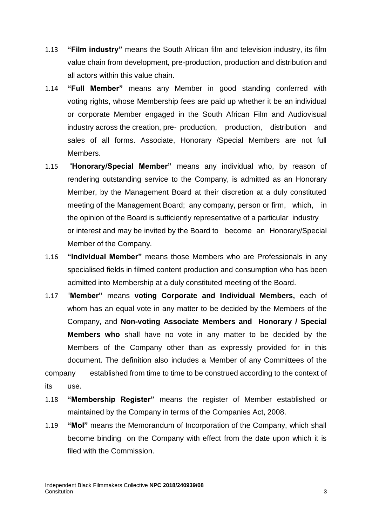- 1.13 **"Film industry"** means the South African film and television industry, its film value chain from development, pre-production, production and distribution and all actors within this value chain.
- 1.14 **"Full Member"** means any Member in good standing conferred with voting rights, whose Membership fees are paid up whether it be an individual or corporate Member engaged in the South African Film and Audiovisual industry across the creation, pre- production, production, distribution and sales of all forms. Associate, Honorary /Special Members are not full Members.
- 1.15 "**Honorary/Special Member"** means any individual who, by reason of rendering outstanding service to the Company, is admitted as an Honorary Member, by the Management Board at their discretion at a duly constituted meeting of the Management Board; any company, person or firm, which, in the opinion of the Board is sufficiently representative of a particular industry or interest and may be invited by the Board to become an Honorary/Special Member of the Company.
- 1.16 **"Individual Member"** means those Members who are Professionals in any specialised fields in filmed content production and consumption who has been admitted into Membership at a duly constituted meeting of the Board.
- 1.17 "**Member"** means **voting Corporate and Individual Members,** each of whom has an equal vote in any matter to be decided by the Members of the Company, and **Non-voting Associate Members and Honorary / Special Members who** shall have no vote in any matter to be decided by the Members of the Company other than as expressly provided for in this document. The definition also includes a Member of any Committees of the company established from time to time to be construed according to the context of its use.
- 1.18 **"Membership Register"** means the register of Member established or maintained by the Company in terms of the Companies Act, 2008.
- 1.19 **"MoI"** means the Memorandum of Incorporation of the Company, which shall become binding on the Company with effect from the date upon which it is filed with the Commission.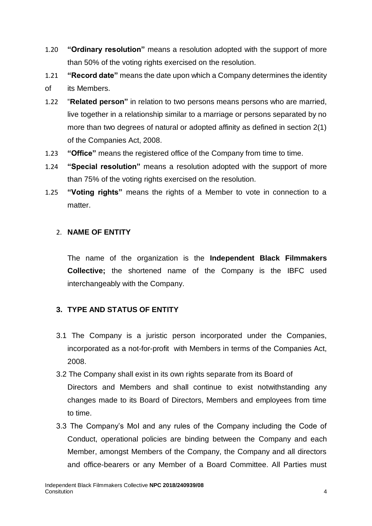- 1.20 **"Ordinary resolution"** means a resolution adopted with the support of more than 50% of the voting rights exercised on the resolution.
- 1.21 **"Record date"** means the date upon which a Company determines the identity of its Members.
- 1.22 "**Related person"** in relation to two persons means persons who are married, live together in a relationship similar to a marriage or persons separated by no more than two degrees of natural or adopted affinity as defined in section 2(1) of the Companies Act, 2008.
- 1.23 **"Office"** means the registered office of the Company from time to time.
- 1.24 **"Special resolution"** means a resolution adopted with the support of more than 75% of the voting rights exercised on the resolution.
- 1.25 **"Voting rights"** means the rights of a Member to vote in connection to a matter.

# 2. **NAME OF ENTITY**

The name of the organization is the **Independent Black Filmmakers Collective;** the shortened name of the Company is the IBFC used interchangeably with the Company.

# **3. TYPE AND STATUS OF ENTITY**

- 3.1 The Company is a juristic person incorporated under the Companies, incorporated as a not-for-profit with Members in terms of the Companies Act, 2008.
- 3.2 The Company shall exist in its own rights separate from its Board of Directors and Members and shall continue to exist notwithstanding any changes made to its Board of Directors, Members and employees from time to time.
- 3.3 The Company's MoI and any rules of the Company including the Code of Conduct, operational policies are binding between the Company and each Member, amongst Members of the Company, the Company and all directors and office-bearers or any Member of a Board Committee. All Parties must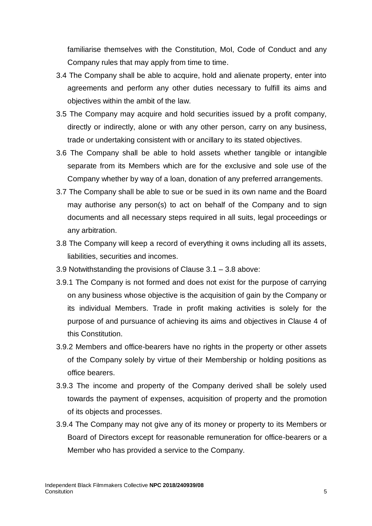familiarise themselves with the Constitution, MoI, Code of Conduct and any Company rules that may apply from time to time.

- 3.4 The Company shall be able to acquire, hold and alienate property, enter into agreements and perform any other duties necessary to fulfill its aims and objectives within the ambit of the law.
- 3.5 The Company may acquire and hold securities issued by a profit company, directly or indirectly, alone or with any other person, carry on any business, trade or undertaking consistent with or ancillary to its stated objectives.
- 3.6 The Company shall be able to hold assets whether tangible or intangible separate from its Members which are for the exclusive and sole use of the Company whether by way of a loan, donation of any preferred arrangements.
- 3.7 The Company shall be able to sue or be sued in its own name and the Board may authorise any person(s) to act on behalf of the Company and to sign documents and all necessary steps required in all suits, legal proceedings or any arbitration.
- 3.8 The Company will keep a record of everything it owns including all its assets, liabilities, securities and incomes.
- 3.9 Notwithstanding the provisions of Clause 3.1 3.8 above:
- 3.9.1 The Company is not formed and does not exist for the purpose of carrying on any business whose objective is the acquisition of gain by the Company or its individual Members. Trade in profit making activities is solely for the purpose of and pursuance of achieving its aims and objectives in Clause 4 of this Constitution.
- 3.9.2 Members and office-bearers have no rights in the property or other assets of the Company solely by virtue of their Membership or holding positions as office bearers.
- 3.9.3 The income and property of the Company derived shall be solely used towards the payment of expenses, acquisition of property and the promotion of its objects and processes.
- 3.9.4 The Company may not give any of its money or property to its Members or Board of Directors except for reasonable remuneration for office-bearers or a Member who has provided a service to the Company.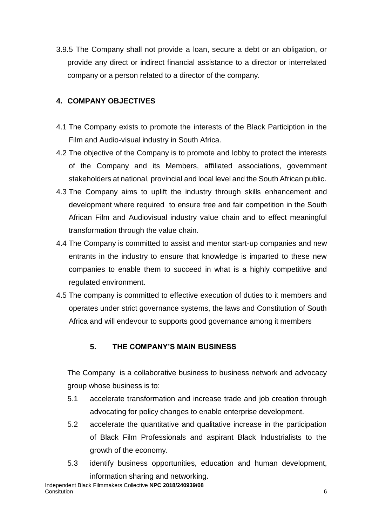3.9.5 The Company shall not provide a loan, secure a debt or an obligation, or provide any direct or indirect financial assistance to a director or interrelated company or a person related to a director of the company.

## **4. COMPANY OBJECTIVES**

- 4.1 The Company exists to promote the interests of the Black Particiption in the Film and Audio-visual industry in South Africa.
- 4.2 The objective of the Company is to promote and lobby to protect the interests of the Company and its Members, affiliated associations, government stakeholders at national, provincial and local level and the South African public.
- 4.3 The Company aims to uplift the industry through skills enhancement and development where required to ensure free and fair competition in the South African Film and Audiovisual industry value chain and to effect meaningful transformation through the value chain.
- 4.4 The Company is committed to assist and mentor start-up companies and new entrants in the industry to ensure that knowledge is imparted to these new companies to enable them to succeed in what is a highly competitive and regulated environment.
- 4.5 The company is committed to effective execution of duties to it members and operates under strict governance systems, the laws and Constitution of South Africa and will endevour to supports good governance among it members

# **5. THE COMPANY'S MAIN BUSINESS**

The Company is a collaborative business to business network and advocacy group whose business is to:

- 5.1 accelerate transformation and increase trade and job creation through advocating for policy changes to enable enterprise development.
- 5.2 accelerate the quantitative and qualitative increase in the participation of Black Film Professionals and aspirant Black Industrialists to the growth of the economy.
- 5.3 identify business opportunities, education and human development, information sharing and networking.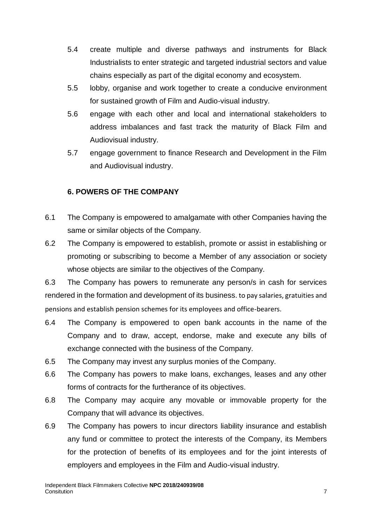- 5.4 create multiple and diverse pathways and instruments for Black Industrialists to enter strategic and targeted industrial sectors and value chains especially as part of the digital economy and ecosystem.
- 5.5 lobby, organise and work together to create a conducive environment for sustained growth of Film and Audio-visual industry.
- 5.6 engage with each other and local and international stakeholders to address imbalances and fast track the maturity of Black Film and Audiovisual industry.
- 5.7 engage government to finance Research and Development in the Film and Audiovisual industry.

## **6. POWERS OF THE COMPANY**

- 6.1 The Company is empowered to amalgamate with other Companies having the same or similar objects of the Company.
- 6.2 The Company is empowered to establish, promote or assist in establishing or promoting or subscribing to become a Member of any association or society whose objects are similar to the objectives of the Company.

6.3 The Company has powers to remunerate any person/s in cash for services rendered in the formation and development of its business. to pay salaries, gratuities and pensions and establish pension schemes for its employees and office-bearers.

- 6.4 The Company is empowered to open bank accounts in the name of the Company and to draw, accept, endorse, make and execute any bills of exchange connected with the business of the Company.
- 6.5 The Company may invest any surplus monies of the Company.
- 6.6 The Company has powers to make loans, exchanges, leases and any other forms of contracts for the furtherance of its objectives.
- 6.8 The Company may acquire any movable or immovable property for the Company that will advance its objectives.
- 6.9 The Company has powers to incur directors liability insurance and establish any fund or committee to protect the interests of the Company, its Members for the protection of benefits of its employees and for the joint interests of employers and employees in the Film and Audio-visual industry.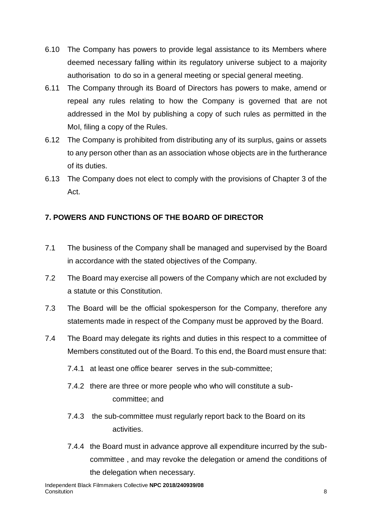- 6.10 The Company has powers to provide legal assistance to its Members where deemed necessary falling within its regulatory universe subject to a majority authorisation to do so in a general meeting or special general meeting.
- 6.11 The Company through its Board of Directors has powers to make, amend or repeal any rules relating to how the Company is governed that are not addressed in the MoI by publishing a copy of such rules as permitted in the MoI, filing a copy of the Rules.
- 6.12 The Company is prohibited from distributing any of its surplus, gains or assets to any person other than as an association whose objects are in the furtherance of its duties.
- 6.13 The Company does not elect to comply with the provisions of Chapter 3 of the Act.

## **7. POWERS AND FUNCTIONS OF THE BOARD OF DIRECTOR**

- 7.1 The business of the Company shall be managed and supervised by the Board in accordance with the stated objectives of the Company.
- 7.2 The Board may exercise all powers of the Company which are not excluded by a statute or this Constitution.
- 7.3 The Board will be the official spokesperson for the Company, therefore any statements made in respect of the Company must be approved by the Board.
- 7.4 The Board may delegate its rights and duties in this respect to a committee of Members constituted out of the Board. To this end, the Board must ensure that:
	- 7.4.1 at least one office bearer serves in the sub-committee;
	- 7.4.2 there are three or more people who who will constitute a subcommittee; and
	- 7.4.3 the sub-committee must regularly report back to the Board on its activities.
	- 7.4.4 the Board must in advance approve all expenditure incurred by the subcommittee , and may revoke the delegation or amend the conditions of the delegation when necessary.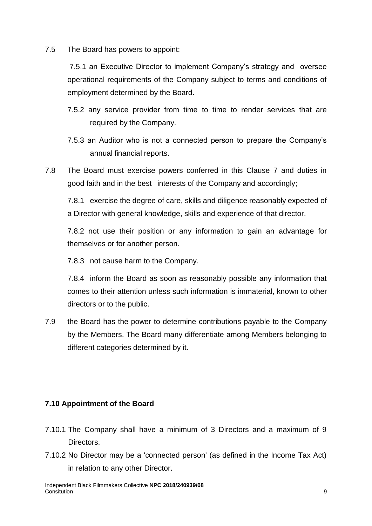7.5 The Board has powers to appoint:

7.5.1 an Executive Director to implement Company's strategy and oversee operational requirements of the Company subject to terms and conditions of employment determined by the Board.

- 7.5.2 any service provider from time to time to render services that are required by the Company.
- 7.5.3 an Auditor who is not a connected person to prepare the Company's annual financial reports.
- 7.8 The Board must exercise powers conferred in this Clause 7 and duties in good faith and in the best interests of the Company and accordingly;

7.8.1 exercise the degree of care, skills and diligence reasonably expected of a Director with general knowledge, skills and experience of that director.

7.8.2 not use their position or any information to gain an advantage for themselves or for another person.

7.8.3 not cause harm to the Company.

7.8.4 inform the Board as soon as reasonably possible any information that comes to their attention unless such information is immaterial, known to other directors or to the public.

7.9 the Board has the power to determine contributions payable to the Company by the Members. The Board many differentiate among Members belonging to different categories determined by it.

## **7.10 Appointment of the Board**

- 7.10.1 The Company shall have a minimum of 3 Directors and a maximum of 9 Directors.
- 7.10.2 No Director may be a 'connected person' (as defined in the Income Tax Act) in relation to any other Director.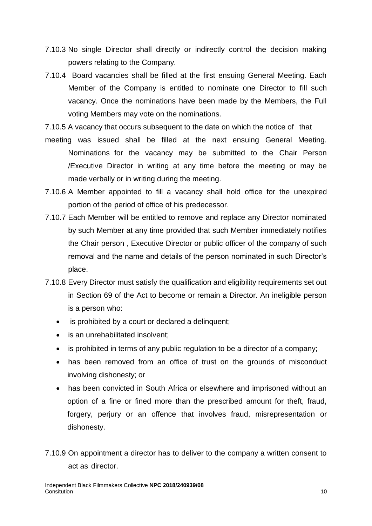- 7.10.3 No single Director shall directly or indirectly control the decision making powers relating to the Company.
- 7.10.4 Board vacancies shall be filled at the first ensuing General Meeting. Each Member of the Company is entitled to nominate one Director to fill such vacancy. Once the nominations have been made by the Members, the Full voting Members may vote on the nominations.

7.10.5 A vacancy that occurs subsequent to the date on which the notice of that

- meeting was issued shall be filled at the next ensuing General Meeting. Nominations for the vacancy may be submitted to the Chair Person /Executive Director in writing at any time before the meeting or may be made verbally or in writing during the meeting.
- 7.10.6 A Member appointed to fill a vacancy shall hold office for the unexpired portion of the period of office of his predecessor.
- 7.10.7 Each Member will be entitled to remove and replace any Director nominated by such Member at any time provided that such Member immediately notifies the Chair person , Executive Director or public officer of the company of such removal and the name and details of the person nominated in such Director's place.
- 7.10.8 Every Director must satisfy the qualification and eligibility requirements set out in Section 69 of the Act to become or remain a Director. An ineligible person is a person who:
	- is prohibited by a court or declared a delinquent;
	- is an unrehabilitated insolvent;
	- is prohibited in terms of any public regulation to be a director of a company;
	- has been removed from an office of trust on the grounds of misconduct involving dishonesty; or
	- has been convicted in South Africa or elsewhere and imprisoned without an option of a fine or fined more than the prescribed amount for theft, fraud, forgery, perjury or an offence that involves fraud, misrepresentation or dishonesty.
- 7.10.9 On appointment a director has to deliver to the company a written consent to act as director.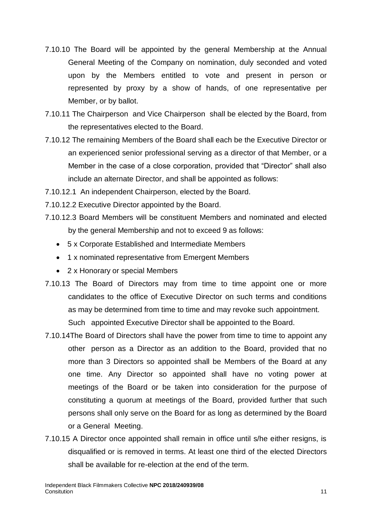- 7.10.10 The Board will be appointed by the general Membership at the Annual General Meeting of the Company on nomination, duly seconded and voted upon by the Members entitled to vote and present in person or represented by proxy by a show of hands, of one representative per Member, or by ballot.
- 7.10.11 The Chairperson and Vice Chairperson shall be elected by the Board, from the representatives elected to the Board.
- 7.10.12 The remaining Members of the Board shall each be the Executive Director or an experienced senior professional serving as a director of that Member, or a Member in the case of a close corporation, provided that "Director" shall also include an alternate Director, and shall be appointed as follows:
- 7.10.12.1 An independent Chairperson, elected by the Board.
- 7.10.12.2 Executive Director appointed by the Board.
- 7.10.12.3 Board Members will be constituent Members and nominated and elected by the general Membership and not to exceed 9 as follows:
	- 5 x Corporate Established and Intermediate Members
	- 1 x nominated representative from Emergent Members
	- 2 x Honorary or special Members
- 7.10.13 The Board of Directors may from time to time appoint one or more candidates to the office of Executive Director on such terms and conditions as may be determined from time to time and may revoke such appointment. Such appointed Executive Director shall be appointed to the Board.
- 7.10.14The Board of Directors shall have the power from time to time to appoint any other person as a Director as an addition to the Board, provided that no more than 3 Directors so appointed shall be Members of the Board at any one time. Any Director so appointed shall have no voting power at meetings of the Board or be taken into consideration for the purpose of constituting a quorum at meetings of the Board, provided further that such persons shall only serve on the Board for as long as determined by the Board or a General Meeting.
- 7.10.15 A Director once appointed shall remain in office until s/he either resigns, is disqualified or is removed in terms. At least one third of the elected Directors shall be available for re-election at the end of the term.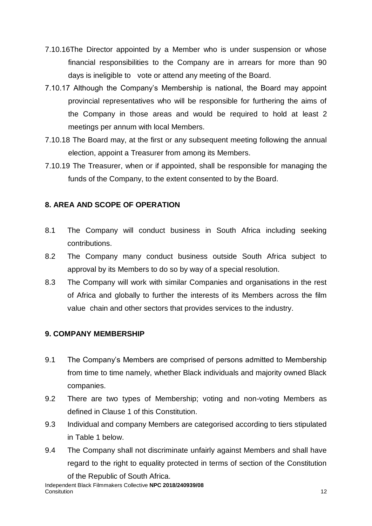- 7.10.16The Director appointed by a Member who is under suspension or whose financial responsibilities to the Company are in arrears for more than 90 days is ineligible to vote or attend any meeting of the Board.
- 7.10.17 Although the Company's Membership is national, the Board may appoint provincial representatives who will be responsible for furthering the aims of the Company in those areas and would be required to hold at least 2 meetings per annum with local Members.
- 7.10.18 The Board may, at the first or any subsequent meeting following the annual election, appoint a Treasurer from among its Members.
- 7.10.19 The Treasurer, when or if appointed, shall be responsible for managing the funds of the Company, to the extent consented to by the Board.

## **8. AREA AND SCOPE OF OPERATION**

- 8.1 The Company will conduct business in South Africa including seeking contributions.
- 8.2 The Company many conduct business outside South Africa subject to approval by its Members to do so by way of a special resolution.
- 8.3 The Company will work with similar Companies and organisations in the rest of Africa and globally to further the interests of its Members across the film value chain and other sectors that provides services to the industry.

## **9. COMPANY MEMBERSHIP**

- 9.1 The Company's Members are comprised of persons admitted to Membership from time to time namely, whether Black individuals and majority owned Black companies.
- 9.2 There are two types of Membership; voting and non-voting Members as defined in Clause 1 of this Constitution.
- 9.3 Individual and company Members are categorised according to tiers stipulated in Table 1 below.
- 9.4 The Company shall not discriminate unfairly against Members and shall have regard to the right to equality protected in terms of section of the Constitution of the Republic of South Africa.

Independent Black Filmmakers Collective **NPC 2018/240939/08 Consitution** 12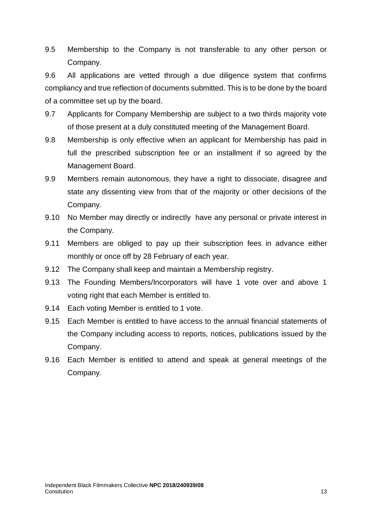9.5 Membership to the Company is not transferable to any other person or Company.

9.6 All applications are vetted through a due diligence system that confirms compliancy and true reflection of documents submitted. This is to be done by the board of a committee set up by the board.

- 9.7 Applicants for Company Membership are subject to a two thirds majority vote of those present at a duly constituted meeting of the Management Board.
- 9.8 Membership is only effective when an applicant for Membership has paid in full the prescribed subscription fee or an installment if so agreed by the Management Board.
- 9.9 Members remain autonomous, they have a right to dissociate, disagree and state any dissenting view from that of the majority or other decisions of the Company.
- 9.10 No Member may directly or indirectly have any personal or private interest in the Company.
- 9.11 Members are obliged to pay up their subscription fees in advance either monthly or once off by 28 February of each year.
- 9.12 The Company shall keep and maintain a Membership registry.
- 9.13 The Founding Members/Incorporators will have 1 vote over and above 1 voting right that each Member is entitled to.
- 9.14 Each voting Member is entitled to 1 vote.
- 9.15 Each Member is entitled to have access to the annual financial statements of the Company including access to reports, notices, publications issued by the Company.
- 9.16 Each Member is entitled to attend and speak at general meetings of the Company.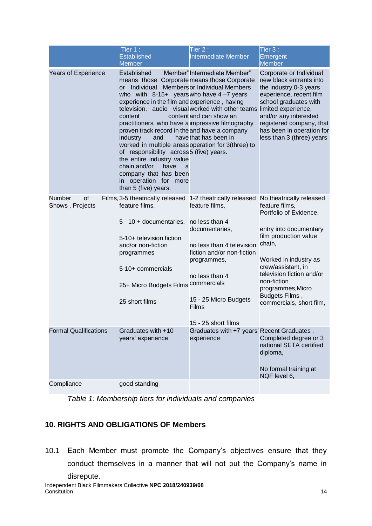|                                 | Tier 1:<br><b>Established</b><br><b>Member</b>                                                                                                                                                                                                                                                                                                                                                                                                                                                                                                                                      | Tier 2:<br>Intermediate Member                                                                                                                                                                                         | Tier 3:<br>Emergent<br><b>Member</b>                                                                                                                                                                                                                                                            |
|---------------------------------|-------------------------------------------------------------------------------------------------------------------------------------------------------------------------------------------------------------------------------------------------------------------------------------------------------------------------------------------------------------------------------------------------------------------------------------------------------------------------------------------------------------------------------------------------------------------------------------|------------------------------------------------------------------------------------------------------------------------------------------------------------------------------------------------------------------------|-------------------------------------------------------------------------------------------------------------------------------------------------------------------------------------------------------------------------------------------------------------------------------------------------|
| <b>Years of Experience</b>      | Established<br>means those Corporate means those Corporate<br>or Individual Members or Individual Members<br>who with $8-15+$ years who have $4-7$ years<br>experience in the film and experience, having<br>content<br>practitioners, who have a impressive filmography<br>proven track record in the and have a company<br>industry<br>and<br>worked in multiple areas operation for 3(three) to<br>of responsibility across 5 (five) years.<br>the entire industry value<br>chain, and/or<br>have<br>a<br>company that has been<br>in operation for more<br>than 5 (five) years. | Member" Intermediate Member"<br>television, audio visual worked with other teams limited experience,<br>content and can show an<br>have that has been in                                                               | Corporate or Individual<br>new black entrants into<br>the industry, 0-3 years<br>experience, recent film<br>school graduates with<br>and/or any interested<br>registered company, that<br>has been in operation for<br>less than 3 (three) years                                                |
| Number<br>οf<br>Shows, Projects | Films, 3-5 theatrically released 1-2 theatrically released<br>feature films,<br>$5 - 10 +$ documentaries.<br>5-10+ television fiction<br>and/or non-fiction<br>programmes<br>5-10+ commercials<br>25+ Micro Budgets Films<br>25 short films                                                                                                                                                                                                                                                                                                                                         | feature films,<br>no less than 4<br>documentaries,<br>no less than 4 television<br>fiction and/or non-fiction<br>programmes,<br>no less than 4<br>commercials<br>15 - 25 Micro Budgets<br>Films<br>15 - 25 short films | No theatrically released<br>feature films,<br>Portfolio of Evidence,<br>entry into documentary<br>film production value<br>chain,<br>Worked in industry as<br>crew/assistant, in<br>television fiction and/or<br>non-fiction<br>programmes, Micro<br>Budgets Films,<br>commercials, short film, |
| <b>Formal Qualifications</b>    | Graduates with +10<br>years' experience                                                                                                                                                                                                                                                                                                                                                                                                                                                                                                                                             | Graduates with +7 years' Recent Graduates.<br>experience                                                                                                                                                               | Completed degree or 3<br>national SETA certified<br>diploma,<br>No formal training at<br>NQF level 6,                                                                                                                                                                                           |
| Compliance                      | good standing                                                                                                                                                                                                                                                                                                                                                                                                                                                                                                                                                                       |                                                                                                                                                                                                                        |                                                                                                                                                                                                                                                                                                 |

*Table 1: Membership tiers for individuals and companies*

# **10. RIGHTS AND OBLIGATIONS OF Members**

10.1 Each Member must promote the Company's objectives ensure that they conduct themselves in a manner that will not put the Company's name in disrepute.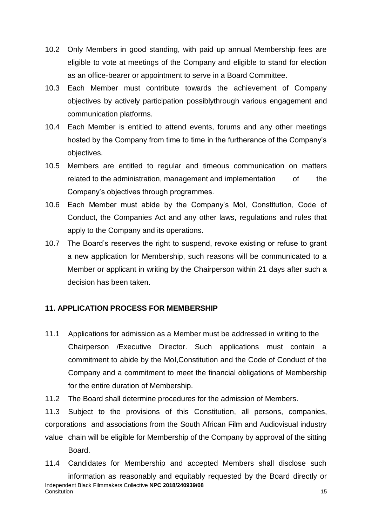- 10.2 Only Members in good standing, with paid up annual Membership fees are eligible to vote at meetings of the Company and eligible to stand for election as an office-bearer or appointment to serve in a Board Committee.
- 10.3 Each Member must contribute towards the achievement of Company objectives by actively participation possiblythrough various engagement and communication platforms.
- 10.4 Each Member is entitled to attend events, forums and any other meetings hosted by the Company from time to time in the furtherance of the Company's objectives.
- 10.5 Members are entitled to regular and timeous communication on matters related to the administration, management and implementation of the Company's objectives through programmes.
- 10.6 Each Member must abide by the Company's MoI, Constitution, Code of Conduct, the Companies Act and any other laws, regulations and rules that apply to the Company and its operations.
- 10.7 The Board's reserves the right to suspend, revoke existing or refuse to grant a new application for Membership, such reasons will be communicated to a Member or applicant in writing by the Chairperson within 21 days after such a decision has been taken.

## **11. APPLICATION PROCESS FOR MEMBERSHIP**

- 11.1 Applications for admission as a Member must be addressed in writing to the Chairperson /Executive Director. Such applications must contain a commitment to abide by the MoI,Constitution and the Code of Conduct of the Company and a commitment to meet the financial obligations of Membership for the entire duration of Membership.
- 11.2 The Board shall determine procedures for the admission of Members.

11.3 Subject to the provisions of this Constitution, all persons, companies, corporations and associations from the South African Film and Audiovisual industry value chain will be eligible for Membership of the Company by approval of the sitting Board.

Independent Black Filmmakers Collective **NPC 2018/240939/08 Consitution** 15 11.4 Candidates for Membership and accepted Members shall disclose such information as reasonably and equitably requested by the Board directly or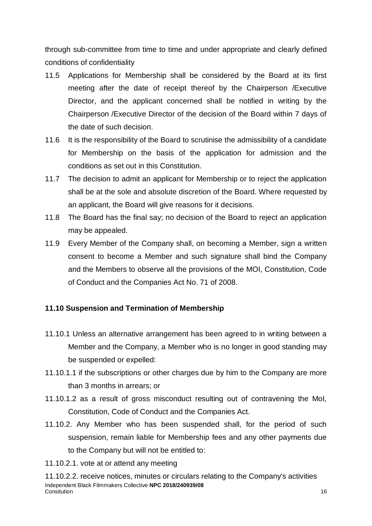through sub-committee from time to time and under appropriate and clearly defined conditions of confidentiality

- 11.5 Applications for Membership shall be considered by the Board at its first meeting after the date of receipt thereof by the Chairperson /Executive Director, and the applicant concerned shall be notified in writing by the Chairperson /Executive Director of the decision of the Board within 7 days of the date of such decision.
- 11.6 It is the responsibility of the Board to scrutinise the admissibility of a candidate for Membership on the basis of the application for admission and the conditions as set out in this Constitution.
- 11.7 The decision to admit an applicant for Membership or to reject the application shall be at the sole and absolute discretion of the Board. Where requested by an applicant, the Board will give reasons for it decisions.
- 11.8 The Board has the final say; no decision of the Board to reject an application may be appealed.
- 11.9 Every Member of the Company shall, on becoming a Member, sign a written consent to become a Member and such signature shall bind the Company and the Members to observe all the provisions of the MOI, Constitution, Code of Conduct and the Companies Act No. 71 of 2008.

## **11.10 Suspension and Termination of Membership**

- 11.10.1 Unless an alternative arrangement has been agreed to in writing between a Member and the Company, a Member who is no longer in good standing may be suspended or expelled:
- 11.10.1.1 if the subscriptions or other charges due by him to the Company are more than 3 months in arrears; or
- 11.10.1.2 as a result of gross misconduct resulting out of contravening the MoI, Constitution, Code of Conduct and the Companies Act.
- 11.10.2. Any Member who has been suspended shall, for the period of such suspension, remain liable for Membership fees and any other payments due to the Company but will not be entitled to:
- 11.10.2.1. vote at or attend any meeting

Independent Black Filmmakers Collective **NPC 2018/240939/08** Consitution 16 11.10.2.2. receive notices, minutes or circulars relating to the Company's activities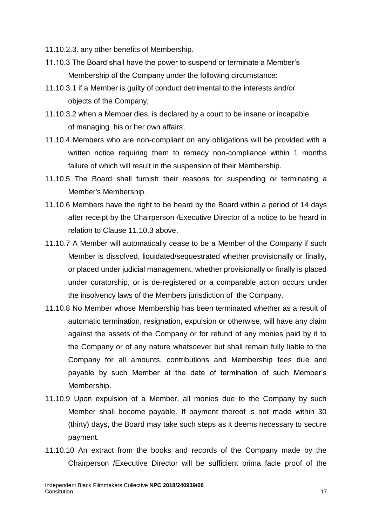- 11.10.2.3. any other benefits of Membership.
- 11.10.3 The Board shall have the power to suspend or terminate a Member's Membership of the Company under the following circumstance:
- 11.10.3.1 if a Member is guilty of conduct detrimental to the interests and/or objects of the Company;
- 11.10.3.2 when a Member dies, is declared by a court to be insane or incapable of managing his or her own affairs;
- 11.10.4 Members who are non-compliant on any obligations will be provided with a written notice requiring them to remedy non-compliance within 1 months failure of which will result in the suspension of their Membership.
- 11.10.5 The Board shall furnish their reasons for suspending or terminating a Member's Membership.
- 11.10.6 Members have the right to be heard by the Board within a period of 14 days after receipt by the Chairperson /Executive Director of a notice to be heard in relation to Clause 11.10.3 above.
- 11.10.7 A Member will automatically cease to be a Member of the Company if such Member is dissolved, liquidated/sequestrated whether provisionally or finally, or placed under judicial management, whether provisionally or finally is placed under curatorship, or is de-registered or a comparable action occurs under the insolvency laws of the Members jurisdiction of the Company.
- 11.10.8 No Member whose Membership has been terminated whether as a result of automatic termination, resignation, expulsion or otherwise, will have any claim against the assets of the Company or for refund of any monies paid by it to the Company or of any nature whatsoever but shall remain fully liable to the Company for all amounts, contributions and Membership fees due and payable by such Member at the date of termination of such Member's Membership.
- 11.10.9 Upon expulsion of a Member, all monies due to the Company by such Member shall become payable. If payment thereof is not made within 30 (thirty) days, the Board may take such steps as it deems necessary to secure payment.
- 11.10.10 An extract from the books and records of the Company made by the Chairperson /Executive Director will be sufficient prima facie proof of the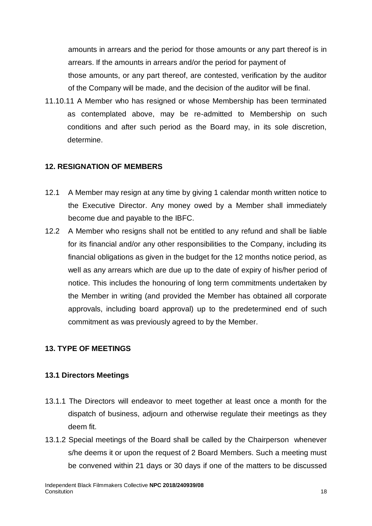amounts in arrears and the period for those amounts or any part thereof is in arrears. If the amounts in arrears and/or the period for payment of those amounts, or any part thereof, are contested, verification by the auditor of the Company will be made, and the decision of the auditor will be final.

11.10.11 A Member who has resigned or whose Membership has been terminated as contemplated above, may be re-admitted to Membership on such conditions and after such period as the Board may, in its sole discretion, determine.

## **12. RESIGNATION OF MEMBERS**

- 12.1 A Member may resign at any time by giving 1 calendar month written notice to the Executive Director. Any money owed by a Member shall immediately become due and payable to the IBFC.
- 12.2 A Member who resigns shall not be entitled to any refund and shall be liable for its financial and/or any other responsibilities to the Company, including its financial obligations as given in the budget for the 12 months notice period, as well as any arrears which are due up to the date of expiry of his/her period of notice. This includes the honouring of long term commitments undertaken by the Member in writing (and provided the Member has obtained all corporate approvals, including board approval) up to the predetermined end of such commitment as was previously agreed to by the Member.

## **13. TYPE OF MEETINGS**

#### **13.1 Directors Meetings**

- 13.1.1 The Directors will endeavor to meet together at least once a month for the dispatch of business, adjourn and otherwise regulate their meetings as they deem fit.
- 13.1.2 Special meetings of the Board shall be called by the Chairperson whenever s/he deems it or upon the request of 2 Board Members. Such a meeting must be convened within 21 days or 30 days if one of the matters to be discussed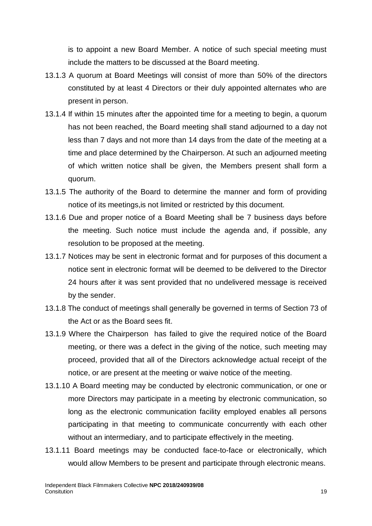is to appoint a new Board Member. A notice of such special meeting must include the matters to be discussed at the Board meeting.

- 13.1.3 A quorum at Board Meetings will consist of more than 50% of the directors constituted by at least 4 Directors or their duly appointed alternates who are present in person.
- 13.1.4 If within 15 minutes after the appointed time for a meeting to begin, a quorum has not been reached, the Board meeting shall stand adjourned to a day not less than 7 days and not more than 14 days from the date of the meeting at a time and place determined by the Chairperson. At such an adjourned meeting of which written notice shall be given, the Members present shall form a quorum.
- 13.1.5 The authority of the Board to determine the manner and form of providing notice of its meetings,is not limited or restricted by this document.
- 13.1.6 Due and proper notice of a Board Meeting shall be 7 business days before the meeting. Such notice must include the agenda and, if possible, any resolution to be proposed at the meeting.
- 13.1.7 Notices may be sent in electronic format and for purposes of this document a notice sent in electronic format will be deemed to be delivered to the Director 24 hours after it was sent provided that no undelivered message is received by the sender.
- 13.1.8 The conduct of meetings shall generally be governed in terms of Section 73 of the Act or as the Board sees fit.
- 13.1.9 Where the Chairperson has failed to give the required notice of the Board meeting, or there was a defect in the giving of the notice, such meeting may proceed, provided that all of the Directors acknowledge actual receipt of the notice, or are present at the meeting or waive notice of the meeting.
- 13.1.10 A Board meeting may be conducted by electronic communication, or one or more Directors may participate in a meeting by electronic communication, so long as the electronic communication facility employed enables all persons participating in that meeting to communicate concurrently with each other without an intermediary, and to participate effectively in the meeting.
- 13.1.11 Board meetings may be conducted face-to-face or electronically, which would allow Members to be present and participate through electronic means.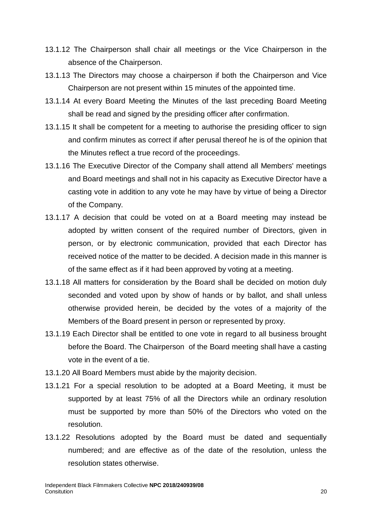- 13.1.12 The Chairperson shall chair all meetings or the Vice Chairperson in the absence of the Chairperson.
- 13.1.13 The Directors may choose a chairperson if both the Chairperson and Vice Chairperson are not present within 15 minutes of the appointed time.
- 13.1.14 At every Board Meeting the Minutes of the last preceding Board Meeting shall be read and signed by the presiding officer after confirmation.
- 13.1.15 It shall be competent for a meeting to authorise the presiding officer to sign and confirm minutes as correct if after perusal thereof he is of the opinion that the Minutes reflect a true record of the proceedings.
- 13.1.16 The Executive Director of the Company shall attend all Members' meetings and Board meetings and shall not in his capacity as Executive Director have a casting vote in addition to any vote he may have by virtue of being a Director of the Company.
- 13.1.17 A decision that could be voted on at a Board meeting may instead be adopted by written consent of the required number of Directors, given in person, or by electronic communication, provided that each Director has received notice of the matter to be decided. A decision made in this manner is of the same effect as if it had been approved by voting at a meeting.
- 13.1.18 All matters for consideration by the Board shall be decided on motion duly seconded and voted upon by show of hands or by ballot, and shall unless otherwise provided herein, be decided by the votes of a majority of the Members of the Board present in person or represented by proxy.
- 13.1.19 Each Director shall be entitled to one vote in regard to all business brought before the Board. The Chairperson of the Board meeting shall have a casting vote in the event of a tie.
- 13.1.20 All Board Members must abide by the majority decision.
- 13.1.21 For a special resolution to be adopted at a Board Meeting, it must be supported by at least 75% of all the Directors while an ordinary resolution must be supported by more than 50% of the Directors who voted on the resolution.
- 13.1.22 Resolutions adopted by the Board must be dated and sequentially numbered; and are effective as of the date of the resolution, unless the resolution states otherwise.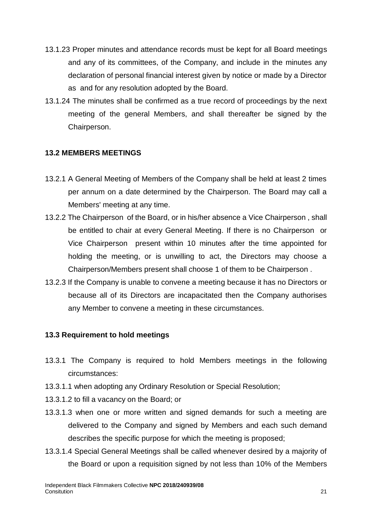- 13.1.23 Proper minutes and attendance records must be kept for all Board meetings and any of its committees, of the Company, and include in the minutes any declaration of personal financial interest given by notice or made by a Director as and for any resolution adopted by the Board.
- 13.1.24 The minutes shall be confirmed as a true record of proceedings by the next meeting of the general Members, and shall thereafter be signed by the Chairperson.

#### **13.2 MEMBERS MEETINGS**

- 13.2.1 A General Meeting of Members of the Company shall be held at least 2 times per annum on a date determined by the Chairperson. The Board may call a Members' meeting at any time.
- 13.2.2 The Chairperson of the Board, or in his/her absence a Vice Chairperson , shall be entitled to chair at every General Meeting. If there is no Chairperson or Vice Chairperson present within 10 minutes after the time appointed for holding the meeting, or is unwilling to act, the Directors may choose a Chairperson/Members present shall choose 1 of them to be Chairperson .
- 13.2.3 If the Company is unable to convene a meeting because it has no Directors or because all of its Directors are incapacitated then the Company authorises any Member to convene a meeting in these circumstances.

## **13.3 Requirement to hold meetings**

- 13.3.1 The Company is required to hold Members meetings in the following circumstances:
- 13.3.1.1 when adopting any Ordinary Resolution or Special Resolution;
- 13.3.1.2 to fill a vacancy on the Board; or
- 13.3.1.3 when one or more written and signed demands for such a meeting are delivered to the Company and signed by Members and each such demand describes the specific purpose for which the meeting is proposed;
- 13.3.1.4 Special General Meetings shall be called whenever desired by a majority of the Board or upon a requisition signed by not less than 10% of the Members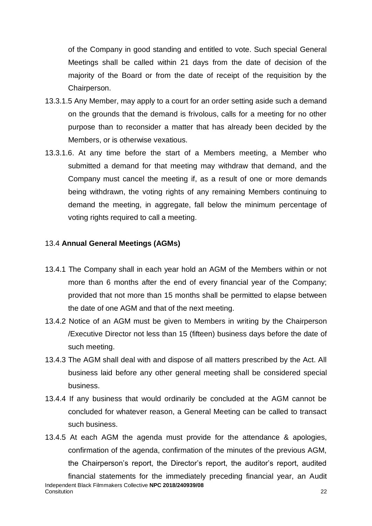of the Company in good standing and entitled to vote. Such special General Meetings shall be called within 21 days from the date of decision of the majority of the Board or from the date of receipt of the requisition by the Chairperson.

- 13.3.1.5 Any Member, may apply to a court for an order setting aside such a demand on the grounds that the demand is frivolous, calls for a meeting for no other purpose than to reconsider a matter that has already been decided by the Members, or is otherwise vexatious.
- 13.3.1.6. At any time before the start of a Members meeting, a Member who submitted a demand for that meeting may withdraw that demand, and the Company must cancel the meeting if, as a result of one or more demands being withdrawn, the voting rights of any remaining Members continuing to demand the meeting, in aggregate, fall below the minimum percentage of voting rights required to call a meeting.

#### 13.4 **Annual General Meetings (AGMs)**

- 13.4.1 The Company shall in each year hold an AGM of the Members within or not more than 6 months after the end of every financial year of the Company; provided that not more than 15 months shall be permitted to elapse between the date of one AGM and that of the next meeting.
- 13.4.2 Notice of an AGM must be given to Members in writing by the Chairperson /Executive Director not less than 15 (fifteen) business days before the date of such meeting.
- 13.4.3 The AGM shall deal with and dispose of all matters prescribed by the Act. All business laid before any other general meeting shall be considered special business.
- 13.4.4 If any business that would ordinarily be concluded at the AGM cannot be concluded for whatever reason, a General Meeting can be called to transact such business.
- Independent Black Filmmakers Collective **NPC 2018/240939/08** Consitution 22 13.4.5 At each AGM the agenda must provide for the attendance & apologies, confirmation of the agenda, confirmation of the minutes of the previous AGM, the Chairperson's report, the Director's report, the auditor's report, audited financial statements for the immediately preceding financial year, an Audit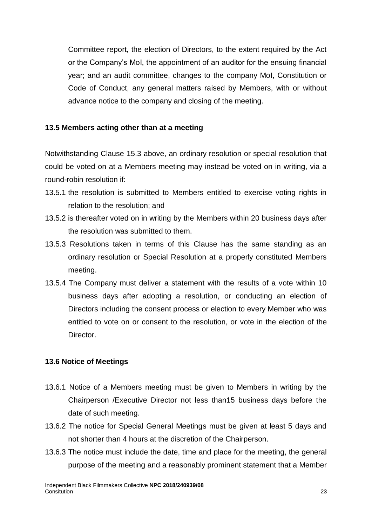Committee report, the election of Directors, to the extent required by the Act or the Company's MoI, the appointment of an auditor for the ensuing financial year; and an audit committee, changes to the company MoI, Constitution or Code of Conduct, any general matters raised by Members, with or without advance notice to the company and closing of the meeting.

#### **13.5 Members acting other than at a meeting**

Notwithstanding Clause 15.3 above, an ordinary resolution or special resolution that could be voted on at a Members meeting may instead be voted on in writing, via a round-robin resolution if:

- 13.5.1 the resolution is submitted to Members entitled to exercise voting rights in relation to the resolution; and
- 13.5.2 is thereafter voted on in writing by the Members within 20 business days after the resolution was submitted to them.
- 13.5.3 Resolutions taken in terms of this Clause has the same standing as an ordinary resolution or Special Resolution at a properly constituted Members meeting.
- 13.5.4 The Company must deliver a statement with the results of a vote within 10 business days after adopting a resolution, or conducting an election of Directors including the consent process or election to every Member who was entitled to vote on or consent to the resolution, or vote in the election of the **Director**

#### **13.6 Notice of Meetings**

- 13.6.1 Notice of a Members meeting must be given to Members in writing by the Chairperson /Executive Director not less than15 business days before the date of such meeting.
- 13.6.2 The notice for Special General Meetings must be given at least 5 days and not shorter than 4 hours at the discretion of the Chairperson.
- 13.6.3 The notice must include the date, time and place for the meeting, the general purpose of the meeting and a reasonably prominent statement that a Member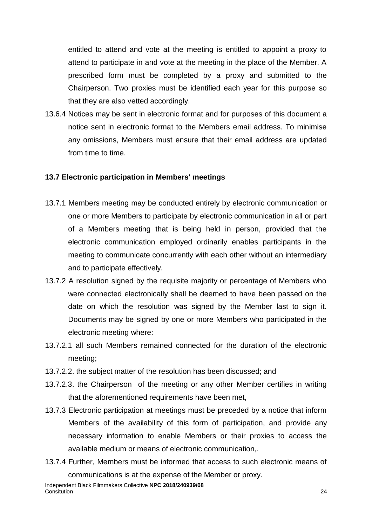entitled to attend and vote at the meeting is entitled to appoint a proxy to attend to participate in and vote at the meeting in the place of the Member. A prescribed form must be completed by a proxy and submitted to the Chairperson. Two proxies must be identified each year for this purpose so that they are also vetted accordingly.

13.6.4 Notices may be sent in electronic format and for purposes of this document a notice sent in electronic format to the Members email address. To minimise any omissions, Members must ensure that their email address are updated from time to time.

#### **13.7 Electronic participation in Members' meetings**

- 13.7.1 Members meeting may be conducted entirely by electronic communication or one or more Members to participate by electronic communication in all or part of a Members meeting that is being held in person, provided that the electronic communication employed ordinarily enables participants in the meeting to communicate concurrently with each other without an intermediary and to participate effectively.
- 13.7.2 A resolution signed by the requisite majority or percentage of Members who were connected electronically shall be deemed to have been passed on the date on which the resolution was signed by the Member last to sign it. Documents may be signed by one or more Members who participated in the electronic meeting where:
- 13.7.2.1 all such Members remained connected for the duration of the electronic meeting;
- 13.7.2.2. the subject matter of the resolution has been discussed; and
- 13.7.2.3. the Chairperson of the meeting or any other Member certifies in writing that the aforementioned requirements have been met,
- 13.7.3 Electronic participation at meetings must be preceded by a notice that inform Members of the availability of this form of participation, and provide any necessary information to enable Members or their proxies to access the available medium or means of electronic communication,.
- 13.7.4 Further, Members must be informed that access to such electronic means of communications is at the expense of the Member or proxy.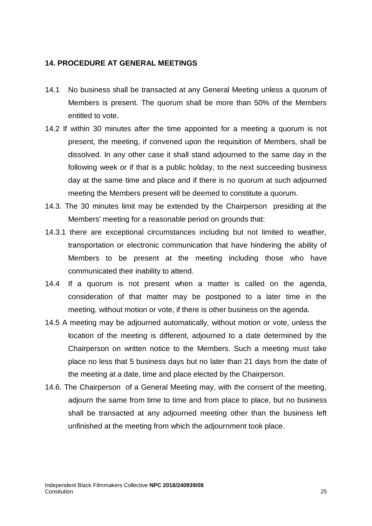#### **14. PROCEDURE AT GENERAL MEETINGS**

- 14.1 No business shall be transacted at any General Meeting unless a quorum of Members is present. The quorum shall be more than 50% of the Members entitled to vote.
- 14.2 If within 30 minutes after the time appointed for a meeting a quorum is not present, the meeting, if convened upon the requisition of Members, shall be dissolved. In any other case it shall stand adjourned to the same day in the following week or if that is a public holiday, to the next succeeding business day at the same time and place and if there is no quorum at such adjourned meeting the Members present will be deemed to constitute a quorum.
- 14.3. The 30 minutes limit may be extended by the Chairperson presiding at the Members' meeting for a reasonable period on grounds that:
- 14.3.1 there are exceptional circumstances including but not limited to weather, transportation or electronic communication that have hindering the ability of Members to be present at the meeting including those who have communicated their inability to attend.
- 14.4 If a quorum is not present when a matter is called on the agenda, consideration of that matter may be postponed to a later time in the meeting, without motion or vote, if there is other business on the agenda.
- 14.5 A meeting may be adjourned automatically, without motion or vote, unless the location of the meeting is different, adjourned to a date determined by the Chairperson on written notice to the Members. Such a meeting must take place no less that 5 business days but no later than 21 days from the date of the meeting at a date, time and place elected by the Chairperson.
- 14.6. The Chairperson of a General Meeting may, with the consent of the meeting, adjourn the same from time to time and from place to place, but no business shall be transacted at any adjourned meeting other than the business left unfinished at the meeting from which the adjournment took place.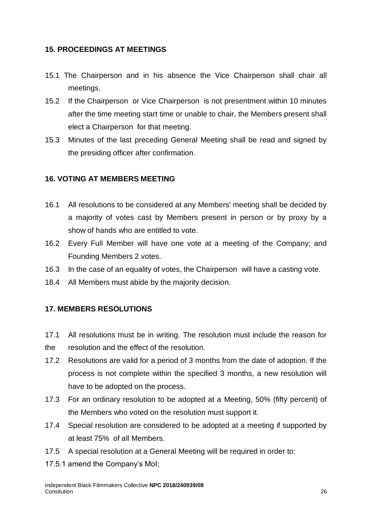#### **15. PROCEEDINGS AT MEETINGS**

- 15.1 The Chairperson and in his absence the Vice Chairperson shall chair all meetings.
- 15.2 If the Chairperson or Vice Chairperson is not presentment within 10 minutes after the time meeting start time or unable to chair, the Members present shall elect a Chairperson for that meeting.
- 15.3 Minutes of the last preceding General Meeting shall be read and signed by the presiding officer after confirmation.

## **16. VOTING AT MEMBERS MEETING**

- 16.1 All resolutions to be considered at any Members' meeting shall be decided by a majority of votes cast by Members present in person or by proxy by a show of hands who are entitled to vote.
- 16.2 Every Full Member will have one vote at a meeting of the Company; and Founding Members 2 votes.
- 16.3 In the case of an equality of votes, the Chairperson will have a casting vote.
- 18.4 All Members must abide by the majority decision.

# **17. MEMBERS RESOLUTIONS**

- 17.1 All resolutions must be in writing. The resolution must include the reason for the resolution and the effect of the resolution.
- 17.2 Resolutions are valid for a period of 3 months from the date of adoption. If the process is not complete within the specified 3 months, a new resolution will have to be adopted on the process.
- 17.3 For an ordinary resolution to be adopted at a Meeting, 50% (fifty percent) of the Members who voted on the resolution must support it.
- 17.4 Special resolution are considered to be adopted at a meeting if supported by at least 75% of all Members.
- 17.5 A special resolution at a General Meeting will be required in order to:
- 17.5.1 amend the Company's MoI;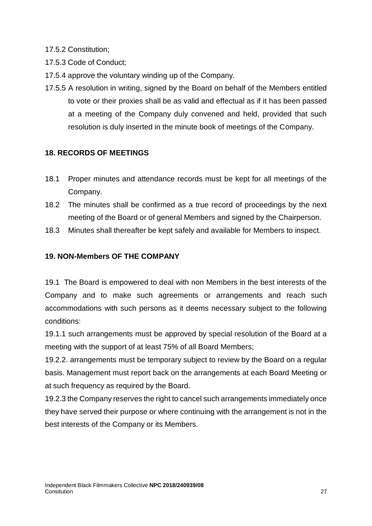17.5.2 Constitution;

- 17.5.3 Code of Conduct;
- 17.5.4 approve the voluntary winding up of the Company.
- 17.5.5 A resolution in writing, signed by the Board on behalf of the Members entitled to vote or their proxies shall be as valid and effectual as if it has been passed at a meeting of the Company duly convened and held, provided that such resolution is duly inserted in the minute book of meetings of the Company.

# **18. RECORDS OF MEETINGS**

- 18.1 Proper minutes and attendance records must be kept for all meetings of the Company.
- 18.2 The minutes shall be confirmed as a true record of proceedings by the next meeting of the Board or of general Members and signed by the Chairperson.
- 18.3 Minutes shall thereafter be kept safely and available for Members to inspect.

# **19. NON-Members OF THE COMPANY**

19.1 The Board is empowered to deal with non Members in the best interests of the Company and to make such agreements or arrangements and reach such accommodations with such persons as it deems necessary subject to the following conditions:

19.1.1 such arrangements must be approved by special resolution of the Board at a meeting with the support of at least 75% of all Board Members;

19.2.2. arrangements must be temporary subject to review by the Board on a regular basis. Management must report back on the arrangements at each Board Meeting or at such frequency as required by the Board.

19.2.3 the Company reserves the right to cancel such arrangements immediately once they have served their purpose or where continuing with the arrangement is not in the best interests of the Company or its Members.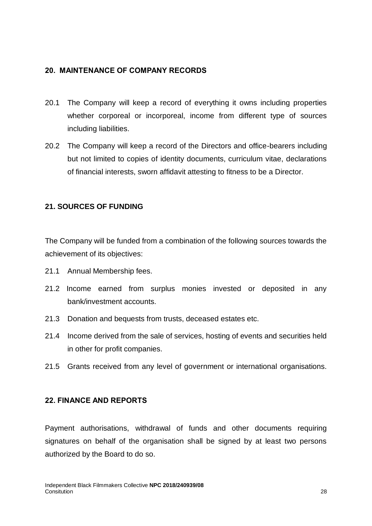#### **20. MAINTENANCE OF COMPANY RECORDS**

- 20.1 The Company will keep a record of everything it owns including properties whether corporeal or incorporeal, income from different type of sources including liabilities.
- 20.2 The Company will keep a record of the Directors and office-bearers including but not limited to copies of identity documents, curriculum vitae, declarations of financial interests, sworn affidavit attesting to fitness to be a Director.

#### **21. SOURCES OF FUNDING**

The Company will be funded from a combination of the following sources towards the achievement of its objectives:

- 21.1 Annual Membership fees.
- 21.2 Income earned from surplus monies invested or deposited in any bank/investment accounts.
- 21.3 Donation and bequests from trusts, deceased estates etc.
- 21.4 Income derived from the sale of services, hosting of events and securities held in other for profit companies.
- 21.5 Grants received from any level of government or international organisations.

#### **22. FINANCE AND REPORTS**

Payment authorisations, withdrawal of funds and other documents requiring signatures on behalf of the organisation shall be signed by at least two persons authorized by the Board to do so.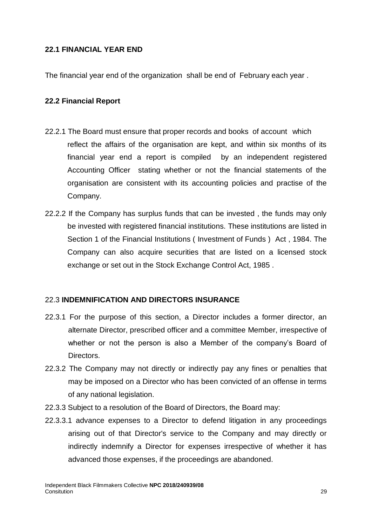#### **22.1 FINANCIAL YEAR END**

The financial year end of the organization shall be end of February each year .

#### **22.2 Financial Report**

- 22.2.1 The Board must ensure that proper records and books of account which reflect the affairs of the organisation are kept, and within six months of its financial year end a report is compiled by an independent registered Accounting Officer stating whether or not the financial statements of the organisation are consistent with its accounting policies and practise of the Company.
- 22.2.2 If the Company has surplus funds that can be invested , the funds may only be invested with registered financial institutions. These institutions are listed in Section 1 of the Financial Institutions ( Investment of Funds ) Act , 1984. The Company can also acquire securities that are listed on a licensed stock exchange or set out in the Stock Exchange Control Act, 1985 .

#### 22.3 **INDEMNIFICATION AND DIRECTORS INSURANCE**

- 22.3.1 For the purpose of this section, a Director includes a former director, an alternate Director, prescribed officer and a committee Member, irrespective of whether or not the person is also a Member of the company's Board of Directors.
- 22.3.2 The Company may not directly or indirectly pay any fines or penalties that may be imposed on a Director who has been convicted of an offense in terms of any national legislation.
- 22.3.3 Subject to a resolution of the Board of Directors, the Board may:
- 22.3.3.1 advance expenses to a Director to defend litigation in any proceedings arising out of that Director's service to the Company and may directly or indirectly indemnify a Director for expenses irrespective of whether it has advanced those expenses, if the proceedings are abandoned.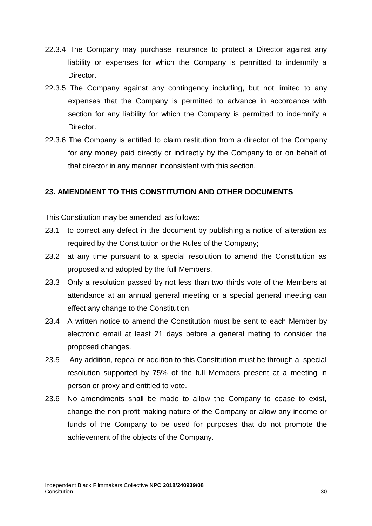- 22.3.4 The Company may purchase insurance to protect a Director against any liability or expenses for which the Company is permitted to indemnify a Director.
- 22.3.5 The Company against any contingency including, but not limited to any expenses that the Company is permitted to advance in accordance with section for any liability for which the Company is permitted to indemnify a Director.
- 22.3.6 The Company is entitled to claim restitution from a director of the Company for any money paid directly or indirectly by the Company to or on behalf of that director in any manner inconsistent with this section.

#### **23. AMENDMENT TO THIS CONSTITUTION AND OTHER DOCUMENTS**

This Constitution may be amended as follows:

- 23.1 to correct any defect in the document by publishing a notice of alteration as required by the Constitution or the Rules of the Company;
- 23.2 at any time pursuant to a special resolution to amend the Constitution as proposed and adopted by the full Members.
- 23.3 Only a resolution passed by not less than two thirds vote of the Members at attendance at an annual general meeting or a special general meeting can effect any change to the Constitution.
- 23.4 A written notice to amend the Constitution must be sent to each Member by electronic email at least 21 days before a general meting to consider the proposed changes.
- 23.5 Any addition, repeal or addition to this Constitution must be through a special resolution supported by 75% of the full Members present at a meeting in person or proxy and entitled to vote.
- 23.6 No amendments shall be made to allow the Company to cease to exist, change the non profit making nature of the Company or allow any income or funds of the Company to be used for purposes that do not promote the achievement of the objects of the Company.